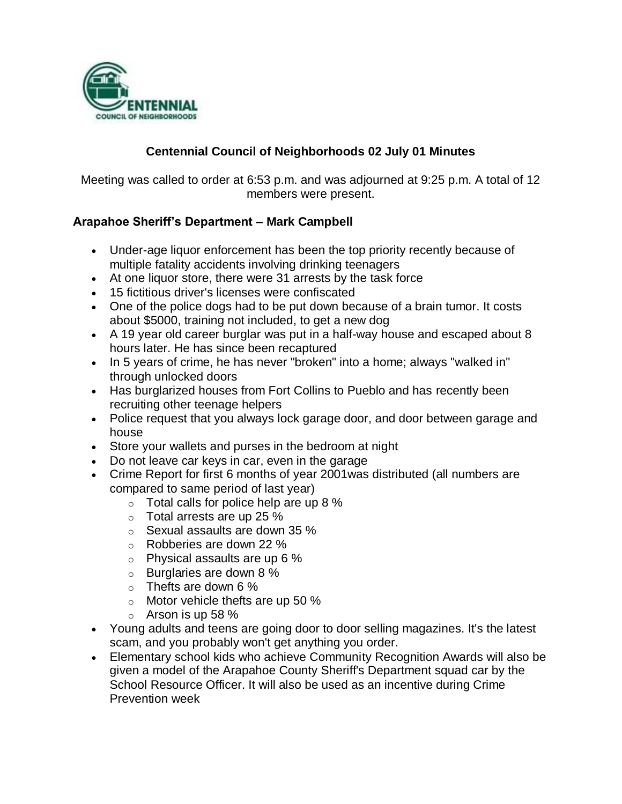

#### **Centennial Council of Neighborhoods 02 July 01 Minutes**

Meeting was called to order at 6:53 p.m. and was adjourned at 9:25 p.m. A total of 12 members were present.

#### **Arapahoe Sheriff's Department – Mark Campbell**

- Under-age liquor enforcement has been the top priority recently because of multiple fatality accidents involving drinking teenagers
- At one liquor store, there were 31 arrests by the task force
- 15 fictitious driver's licenses were confiscated
- One of the police dogs had to be put down because of a brain tumor. It costs about \$5000, training not included, to get a new dog
- A 19 year old career burglar was put in a half-way house and escaped about 8 hours later. He has since been recaptured
- In 5 years of crime, he has never "broken" into a home; always "walked in" through unlocked doors
- Has burglarized houses from Fort Collins to Pueblo and has recently been recruiting other teenage helpers
- Police request that you always lock garage door, and door between garage and house
- Store your wallets and purses in the bedroom at night
- Do not leave car keys in car, even in the garage
- Crime Report for first 6 months of year 2001was distributed (all numbers are compared to same period of last year)
	- $\circ$  Total calls for police help are up 8 %
	- o Total arrests are up 25 %
	- o Sexual assaults are down 35 %
	- o Robberies are down 22 %
	- o Physical assaults are up 6 %
	- $\circ$  Burglaries are down 8 %
	- o Thefts are down 6 %
	- $\circ$  Motor vehicle thefts are up 50 %
	- $\circ$  Arson is up 58 %
- Young adults and teens are going door to door selling magazines. It's the latest scam, and you probably won't get anything you order.
- Elementary school kids who achieve Community Recognition Awards will also be given a model of the Arapahoe County Sheriff's Department squad car by the School Resource Officer. It will also be used as an incentive during Crime Prevention week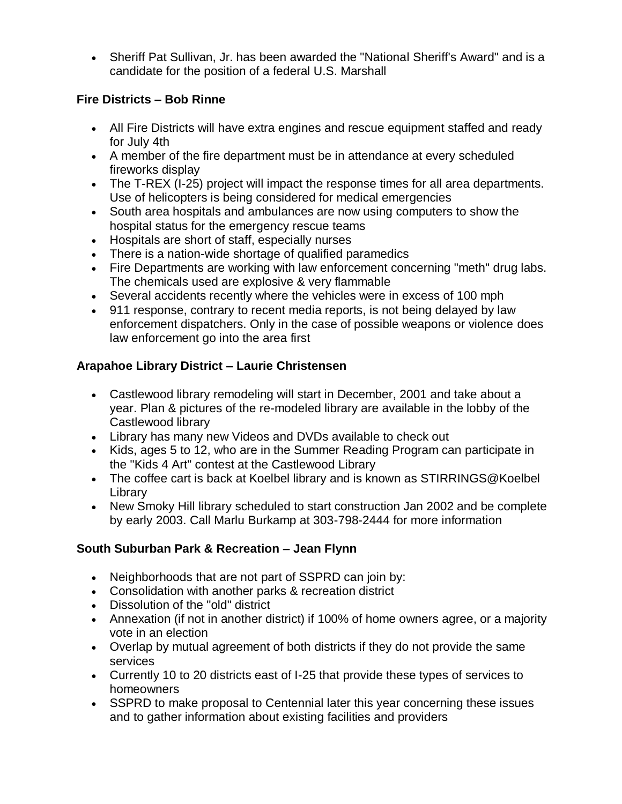Sheriff Pat Sullivan, Jr. has been awarded the "National Sheriff's Award" and is a candidate for the position of a federal U.S. Marshall

#### **Fire Districts – Bob Rinne**

- All Fire Districts will have extra engines and rescue equipment staffed and ready for July 4th
- A member of the fire department must be in attendance at every scheduled fireworks display
- The T-REX (I-25) project will impact the response times for all area departments. Use of helicopters is being considered for medical emergencies
- South area hospitals and ambulances are now using computers to show the hospital status for the emergency rescue teams
- Hospitals are short of staff, especially nurses
- There is a nation-wide shortage of qualified paramedics
- Fire Departments are working with law enforcement concerning "meth" drug labs. The chemicals used are explosive & very flammable
- Several accidents recently where the vehicles were in excess of 100 mph
- 911 response, contrary to recent media reports, is not being delayed by law enforcement dispatchers. Only in the case of possible weapons or violence does law enforcement go into the area first

# **Arapahoe Library District – Laurie Christensen**

- Castlewood library remodeling will start in December, 2001 and take about a year. Plan & pictures of the re-modeled library are available in the lobby of the Castlewood library
- Library has many new Videos and DVDs available to check out
- Kids, ages 5 to 12, who are in the Summer Reading Program can participate in the "Kids 4 Art" contest at the Castlewood Library
- The coffee cart is back at Koelbel library and is known as STIRRINGS@Koelbel Library
- New Smoky Hill library scheduled to start construction Jan 2002 and be complete by early 2003. Call Marlu Burkamp at 303-798-2444 for more information

## **South Suburban Park & Recreation – Jean Flynn**

- Neighborhoods that are not part of SSPRD can join by:
- Consolidation with another parks & recreation district
- Dissolution of the "old" district
- Annexation (if not in another district) if 100% of home owners agree, or a majority vote in an election
- Overlap by mutual agreement of both districts if they do not provide the same services
- Currently 10 to 20 districts east of I-25 that provide these types of services to homeowners
- SSPRD to make proposal to Centennial later this year concerning these issues and to gather information about existing facilities and providers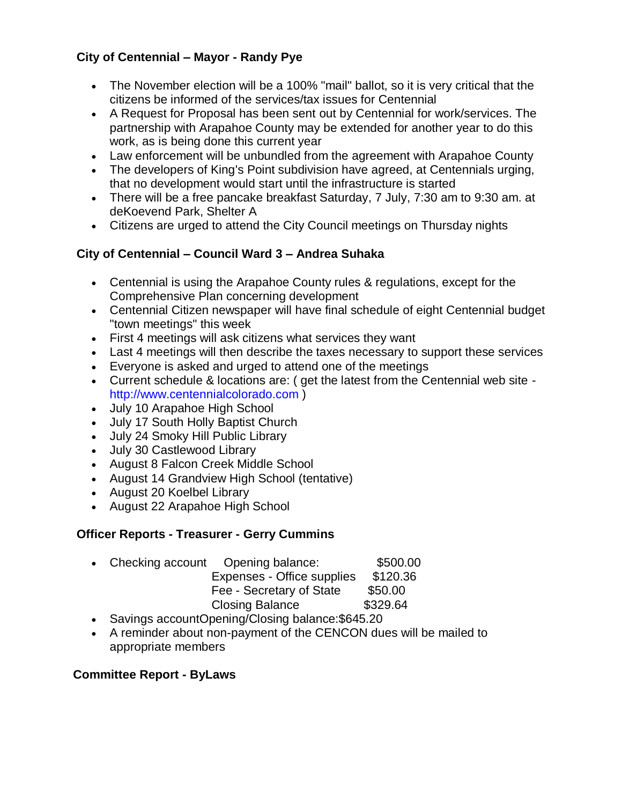#### **City of Centennial – Mayor - Randy Pye**

- The November election will be a 100% "mail" ballot, so it is very critical that the citizens be informed of the services/tax issues for Centennial
- A Request for Proposal has been sent out by Centennial for work/services. The partnership with Arapahoe County may be extended for another year to do this work, as is being done this current year
- Law enforcement will be unbundled from the agreement with Arapahoe County
- The developers of King's Point subdivision have agreed, at Centennials urging, that no development would start until the infrastructure is started
- There will be a free pancake breakfast Saturday, 7 July, 7:30 am to 9:30 am. at deKoevend Park, Shelter A
- Citizens are urged to attend the City Council meetings on Thursday nights

## **City of Centennial – Council Ward 3 – Andrea Suhaka**

- Centennial is using the Arapahoe County rules & regulations, except for the Comprehensive Plan concerning development
- Centennial Citizen newspaper will have final schedule of eight Centennial budget "town meetings" this week
- First 4 meetings will ask citizens what services they want
- Last 4 meetings will then describe the taxes necessary to support these services
- Everyone is asked and urged to attend one of the meetings
- Current schedule & locations are: ( get the latest from the Centennial web site http://www.centennialcolorado.com )
- July 10 Arapahoe High School
- July 17 South Holly Baptist Church
- July 24 Smoky Hill Public Library
- July 30 Castlewood Library
- August 8 Falcon Creek Middle School
- August 14 Grandview High School (tentative)
- August 20 Koelbel Library
- August 22 Arapahoe High School

## **Officer Reports - Treasurer - Gerry Cummins**

- Checking account Opening balance: \$500.00 Expenses - Office supplies \$120.36 Fee - Secretary of State \$50.00 Closing Balance \$329.64
- Savings accountOpening/Closing balance: \$645.20
- A reminder about non-payment of the CENCON dues will be mailed to appropriate members

#### **Committee Report - ByLaws**